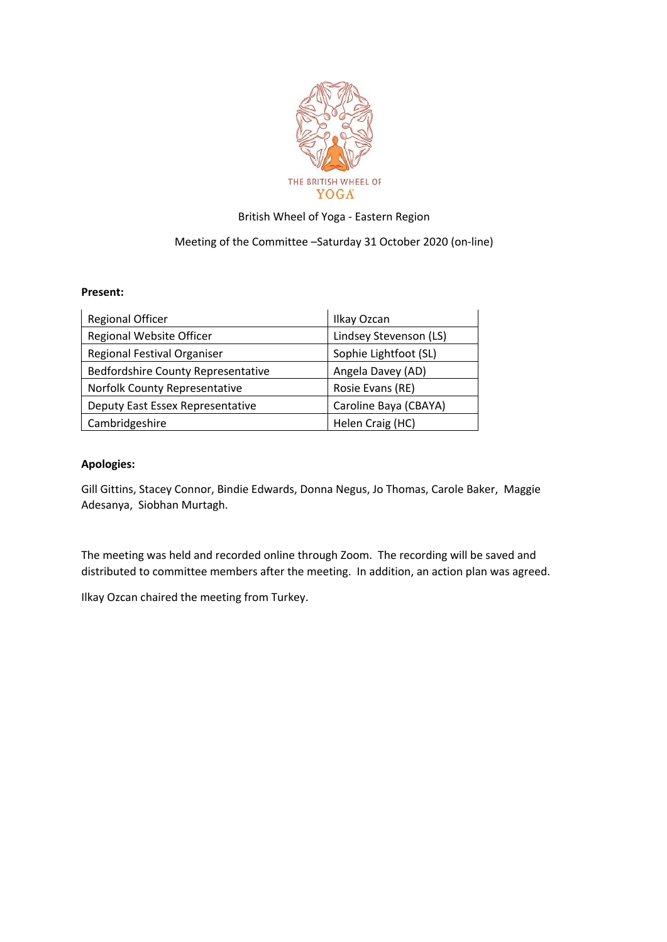

## British Wheel of Yoga - Eastern Region

## Meeting of the Committee –Saturday 31 October 2020 (on-line)

## **Present:**

| <b>Regional Officer</b>            | Ilkay Ozcan            |
|------------------------------------|------------------------|
| Regional Website Officer           | Lindsey Stevenson (LS) |
| Regional Festival Organiser        | Sophie Lightfoot (SL)  |
| Bedfordshire County Representative | Angela Davey (AD)      |
| Norfolk County Representative      | Rosie Evans (RE)       |
| Deputy East Essex Representative   | Caroline Baya (CBAYA)  |
| Cambridgeshire                     | Helen Craig (HC)       |

## **Apologies:**

Gill Gittins, Stacey Connor, Bindie Edwards, Donna Negus, Jo Thomas, Carole Baker, Maggie Adesanya, Siobhan Murtagh.

The meeting was held and recorded online through Zoom. The recording will be saved and distributed to committee members after the meeting. In addition, an action plan was agreed.

Ilkay Ozcan chaired the meeting from Turkey.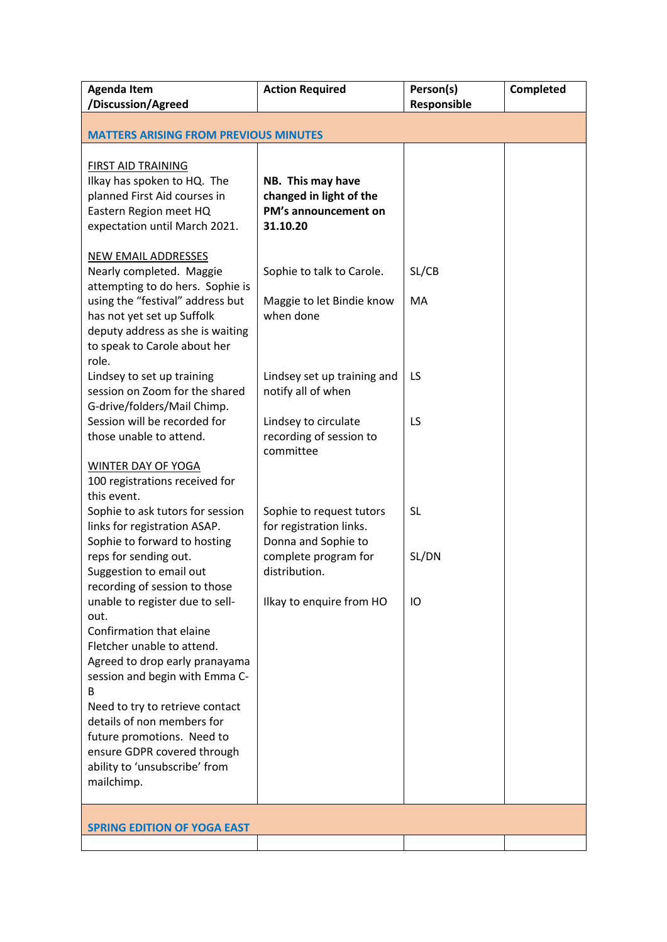| <b>Agenda Item</b><br>/Discussion/Agreed                                                                                                            | <b>Action Required</b>                                                           | Person(s)<br>Responsible | Completed |  |
|-----------------------------------------------------------------------------------------------------------------------------------------------------|----------------------------------------------------------------------------------|--------------------------|-----------|--|
| <b>MATTERS ARISING FROM PREVIOUS MINUTES</b>                                                                                                        |                                                                                  |                          |           |  |
|                                                                                                                                                     |                                                                                  |                          |           |  |
| <b>FIRST AID TRAINING</b><br>Ilkay has spoken to HQ. The<br>planned First Aid courses in<br>Eastern Region meet HQ<br>expectation until March 2021. | NB. This may have<br>changed in light of the<br>PM's announcement on<br>31.10.20 |                          |           |  |
| <b>NEW EMAIL ADDRESSES</b><br>Nearly completed. Maggie<br>attempting to do hers. Sophie is                                                          | Sophie to talk to Carole.                                                        | SL/CB                    |           |  |
| using the "festival" address but<br>has not yet set up Suffolk<br>deputy address as she is waiting<br>to speak to Carole about her<br>role.         | Maggie to let Bindie know<br>when done                                           | MA                       |           |  |
| Lindsey to set up training<br>session on Zoom for the shared<br>G-drive/folders/Mail Chimp.                                                         | Lindsey set up training and<br>notify all of when                                | LS                       |           |  |
| Session will be recorded for<br>those unable to attend.                                                                                             | Lindsey to circulate<br>recording of session to<br>committee                     | LS                       |           |  |
| WINTER DAY OF YOGA<br>100 registrations received for<br>this event.                                                                                 |                                                                                  |                          |           |  |
| Sophie to ask tutors for session<br>links for registration ASAP.<br>Sophie to forward to hosting                                                    | Sophie to request tutors<br>for registration links.<br>Donna and Sophie to       | <b>SL</b>                |           |  |
| reps for sending out.<br>Suggestion to email out                                                                                                    | complete program for<br>distribution.                                            | SL/DN                    |           |  |
| recording of session to those<br>unable to register due to sell-<br>out.                                                                            | Ilkay to enquire from HO                                                         | IO                       |           |  |
| Confirmation that elaine<br>Fletcher unable to attend.<br>Agreed to drop early pranayama                                                            |                                                                                  |                          |           |  |
| session and begin with Emma C-<br>B                                                                                                                 |                                                                                  |                          |           |  |
| Need to try to retrieve contact<br>details of non members for                                                                                       |                                                                                  |                          |           |  |
| future promotions. Need to<br>ensure GDPR covered through<br>ability to 'unsubscribe' from<br>mailchimp.                                            |                                                                                  |                          |           |  |
|                                                                                                                                                     |                                                                                  |                          |           |  |
| <b>SPRING EDITION OF YOGA EAST</b>                                                                                                                  |                                                                                  |                          |           |  |
|                                                                                                                                                     |                                                                                  |                          |           |  |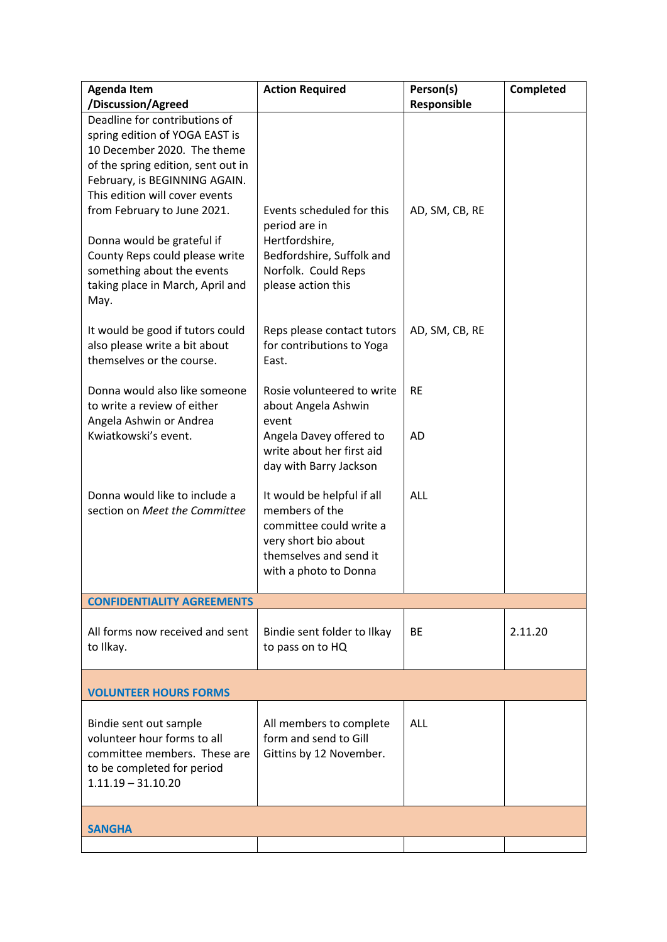| <b>Agenda Item</b>                                                                                                                                                                                                                                                                                                                                                               | <b>Action Required</b>                                                                                                                             | Person(s)      | <b>Completed</b> |  |
|----------------------------------------------------------------------------------------------------------------------------------------------------------------------------------------------------------------------------------------------------------------------------------------------------------------------------------------------------------------------------------|----------------------------------------------------------------------------------------------------------------------------------------------------|----------------|------------------|--|
| /Discussion/Agreed                                                                                                                                                                                                                                                                                                                                                               |                                                                                                                                                    | Responsible    |                  |  |
| Deadline for contributions of<br>spring edition of YOGA EAST is<br>10 December 2020. The theme<br>of the spring edition, sent out in<br>February, is BEGINNING AGAIN.<br>This edition will cover events<br>from February to June 2021.<br>Donna would be grateful if<br>County Reps could please write<br>something about the events<br>taking place in March, April and<br>May. | Events scheduled for this<br>period are in<br>Hertfordshire,<br>Bedfordshire, Suffolk and<br>Norfolk. Could Reps<br>please action this             | AD, SM, CB, RE |                  |  |
| It would be good if tutors could<br>also please write a bit about<br>themselves or the course.                                                                                                                                                                                                                                                                                   | Reps please contact tutors<br>for contributions to Yoga<br>East.                                                                                   | AD, SM, CB, RE |                  |  |
| Donna would also like someone<br>to write a review of either<br>Angela Ashwin or Andrea                                                                                                                                                                                                                                                                                          | Rosie volunteered to write<br>about Angela Ashwin<br>event                                                                                         | <b>RE</b>      |                  |  |
| Kwiatkowski's event.                                                                                                                                                                                                                                                                                                                                                             | Angela Davey offered to<br>write about her first aid<br>day with Barry Jackson                                                                     | <b>AD</b>      |                  |  |
| Donna would like to include a<br>section on Meet the Committee                                                                                                                                                                                                                                                                                                                   | It would be helpful if all<br>members of the<br>committee could write a<br>very short bio about<br>themselves and send it<br>with a photo to Donna | <b>ALL</b>     |                  |  |
| <b>CONFIDENTIALITY AGREEMENTS</b>                                                                                                                                                                                                                                                                                                                                                |                                                                                                                                                    |                |                  |  |
| All forms now received and sent<br>to Ilkay.                                                                                                                                                                                                                                                                                                                                     | Bindie sent folder to Ilkay<br>to pass on to HQ                                                                                                    | <b>BE</b>      | 2.11.20          |  |
| <b>VOLUNTEER HOURS FORMS</b>                                                                                                                                                                                                                                                                                                                                                     |                                                                                                                                                    |                |                  |  |
| Bindie sent out sample<br>volunteer hour forms to all<br>committee members. These are<br>to be completed for period<br>$1.11.19 - 31.10.20$                                                                                                                                                                                                                                      | All members to complete<br>form and send to Gill<br>Gittins by 12 November.                                                                        | <b>ALL</b>     |                  |  |
| <b>SANGHA</b>                                                                                                                                                                                                                                                                                                                                                                    |                                                                                                                                                    |                |                  |  |
|                                                                                                                                                                                                                                                                                                                                                                                  |                                                                                                                                                    |                |                  |  |